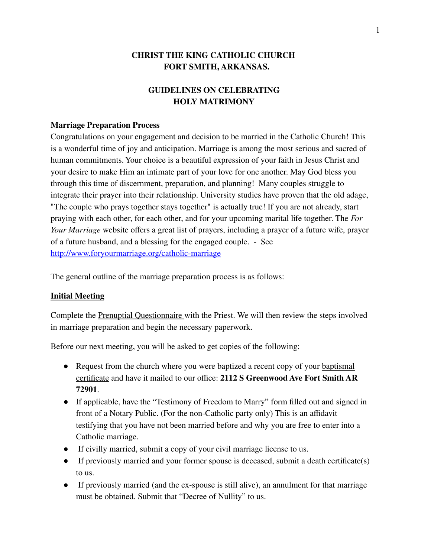# **CHRIST THE KING CATHOLIC CHURCH FORT SMITH, ARKANSAS.**

# **GUIDELINES ON CELEBRATING HOLY MATRIMONY**

#### **Marriage Preparation Process**

Congratulations on your engagement and decision to be married in the Catholic Church! This is a wonderful time of joy and anticipation. Marriage is among the most serious and sacred of human commitments. Your choice is a beautiful expression of your faith in Jesus Christ and your desire to make Him an intimate part of your love for one another. May God bless you through this time of discernment, preparation, and planning! Many couples struggle to integrate their prayer into their relationship. University studies have proven that the old adage, "The couple who prays together stays together" is actually true! If you are not already, start praying with each other, for each other, and for your upcoming marital life together. The *For Your Marriage* website offers a great list of prayers, including a prayer of a future wife, prayer of a future husband, and a blessing for the engaged couple. - See <http://www.foryourmarriage.org/catholic-marriage>

The general outline of the marriage preparation process is as follows:

#### **Initial Meeting**

Complete the Prenuptial Questionnaire with the Priest. We will then review the steps involved in marriage preparation and begin the necessary paperwork.

Before our next meeting, you will be asked to get copies of the following:

- Request from the church where you were baptized a recent copy of your baptismal certificate and have it mailed to our office: **2112 S Greenwood Ave Fort Smith AR 72901**.
- If applicable, have the "Testimony of Freedom to Marry" form filled out and signed in front of a Notary Public. (For the non-Catholic party only) This is an affidavit testifying that you have not been married before and why you are free to enter into a Catholic marriage.
- If civilly married, submit a copy of your civil marriage license to us.
- If previously married and your former spouse is deceased, submit a death certificate(s) to us.
- If previously married (and the ex-spouse is still alive), an annulment for that marriage must be obtained. Submit that "Decree of Nullity" to us.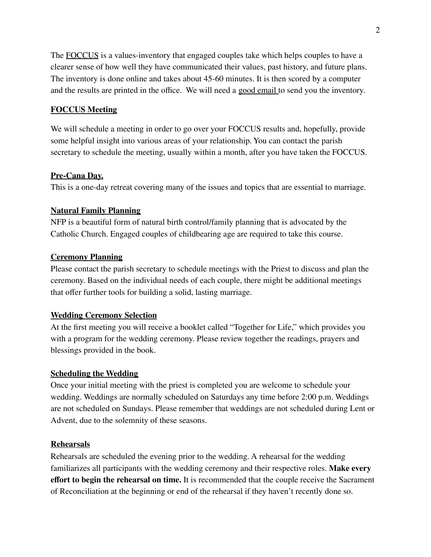The FOCCUS is a values-inventory that engaged couples take which helps couples to have a clearer sense of how well they have communicated their values, past history, and future plans. The inventory is done online and takes about 45-60 minutes. It is then scored by a computer and the results are printed in the office. We will need a good email to send you the inventory.

## **FOCCUS Meeting**

We will schedule a meeting in order to go over your FOCCUS results and, hopefully, provide some helpful insight into various areas of your relationship. You can contact the parish secretary to schedule the meeting, usually within a month, after you have taken the FOCCUS.

### **Pre-Cana Day.**

This is a one-day retreat covering many of the issues and topics that are essential to marriage.

## **Natural Family Planning**

NFP is a beautiful form of natural birth control/family planning that is advocated by the Catholic Church. Engaged couples of childbearing age are required to take this course.

## **Ceremony Planning**

Please contact the parish secretary to schedule meetings with the Priest to discuss and plan the ceremony. Based on the individual needs of each couple, there might be additional meetings that offer further tools for building a solid, lasting marriage.

## **Wedding Ceremony Selection**

At the first meeting you will receive a booklet called "Together for Life," which provides you with a program for the wedding ceremony. Please review together the readings, prayers and blessings provided in the book.

### **Scheduling the Wedding**

Once your initial meeting with the priest is completed you are welcome to schedule your wedding. Weddings are normally scheduled on Saturdays any time before 2:00 p.m. Weddings are not scheduled on Sundays. Please remember that weddings are not scheduled during Lent or Advent, due to the solemnity of these seasons.

## **Rehearsals**

Rehearsals are scheduled the evening prior to the wedding. A rehearsal for the wedding familiarizes all participants with the wedding ceremony and their respective roles. **Make every effort to begin the rehearsal on time.** It is recommended that the couple receive the Sacrament of Reconciliation at the beginning or end of the rehearsal if they haven't recently done so.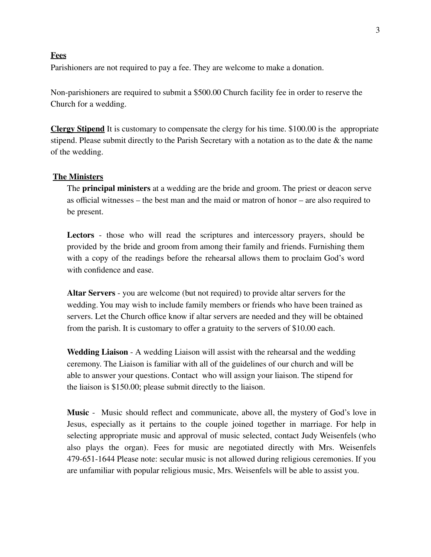#### **Fees**

Parishioners are not required to pay a fee. They are welcome to make a donation.

Non-parishioners are required to submit a \$500.00 Church facility fee in order to reserve the Church for a wedding.

**Clergy Stipend** It is customary to compensate the clergy for his time. \$100.00 is the appropriate stipend. Please submit directly to the Parish Secretary with a notation as to the date & the name of the wedding.

#### **The Ministers**

The **principal ministers** at a wedding are the bride and groom. The priest or deacon serve as official witnesses – the best man and the maid or matron of honor – are also required to be present.

**Lectors** - those who will read the scriptures and intercessory prayers, should be provided by the bride and groom from among their family and friends. Furnishing them with a copy of the readings before the rehearsal allows them to proclaim God's word with confidence and ease.

**Altar Servers** - you are welcome (but not required) to provide altar servers for the wedding. You may wish to include family members or friends who have been trained as servers. Let the Church office know if altar servers are needed and they will be obtained from the parish. It is customary to offer a gratuity to the servers of \$10.00 each.

**Wedding Liaison** - A wedding Liaison will assist with the rehearsal and the wedding ceremony. The Liaison is familiar with all of the guidelines of our church and will be able to answer your questions. Contact who will assign your liaison. The stipend for the liaison is \$150.00; please submit directly to the liaison.

**Music** - Music should reflect and communicate, above all, the mystery of God's love in Jesus, especially as it pertains to the couple joined together in marriage. For help in selecting appropriate music and approval of music selected, contact Judy Weisenfels (who also plays the organ). Fees for music are negotiated directly with Mrs. Weisenfels 479-651-1644 Please note: secular music is not allowed during religious ceremonies. If you are unfamiliar with popular religious music, Mrs. Weisenfels will be able to assist you.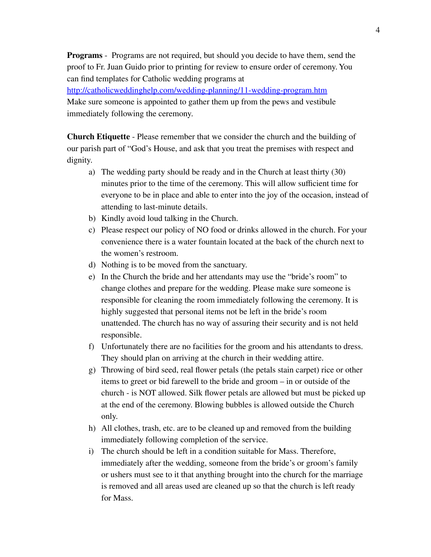**Programs** - Programs are not required, but should you decide to have them, send the proof to Fr. Juan Guido prior to printing for review to ensure order of ceremony. You can find templates for Catholic wedding programs at

<http://catholicweddinghelp.com/wedding-planning/11-wedding-program.htm> Make sure someone is appointed to gather them up from the pews and vestibule immediately following the ceremony.

**Church Etiquette** - Please remember that we consider the church and the building of our parish part of "God's House, and ask that you treat the premises with respect and dignity.

- a) The wedding party should be ready and in the Church at least thirty (30) minutes prior to the time of the ceremony. This will allow sufficient time for everyone to be in place and able to enter into the joy of the occasion, instead of attending to last-minute details.
- b) Kindly avoid loud talking in the Church.
- c) Please respect our policy of NO food or drinks allowed in the church. For your convenience there is a water fountain located at the back of the church next to the women's restroom.
- d) Nothing is to be moved from the sanctuary.
- e) In the Church the bride and her attendants may use the "bride's room" to change clothes and prepare for the wedding. Please make sure someone is responsible for cleaning the room immediately following the ceremony. It is highly suggested that personal items not be left in the bride's room unattended. The church has no way of assuring their security and is not held responsible.
- f) Unfortunately there are no facilities for the groom and his attendants to dress. They should plan on arriving at the church in their wedding attire.
- g) Throwing of bird seed, real flower petals (the petals stain carpet) rice or other items to greet or bid farewell to the bride and groom – in or outside of the church - is NOT allowed. Silk flower petals are allowed but must be picked up at the end of the ceremony. Blowing bubbles is allowed outside the Church only.
- h) All clothes, trash, etc. are to be cleaned up and removed from the building immediately following completion of the service.
- i) The church should be left in a condition suitable for Mass. Therefore, immediately after the wedding, someone from the bride's or groom's family or ushers must see to it that anything brought into the church for the marriage is removed and all areas used are cleaned up so that the church is left ready for Mass.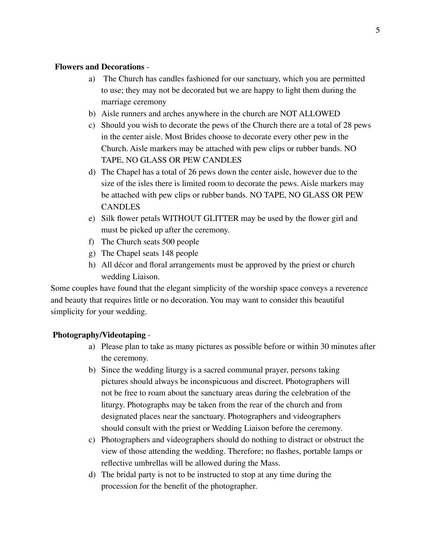## **Flowers and Decorations** -

- a) The Church has candles fashioned for our sanctuary, which you are permitted to use; they may not be decorated but we are happy to light them during the marriage ceremony
- b) Aisle runners and arches anywhere in the church are NOT ALLOWED
- c) Should you wish to decorate the pews of the Church there are a total of 28 pews in the center aisle. Most Brides choose to decorate every other pew in the Church. Aisle markers may be attached with pew clips or rubber bands. NO TAPE, NO GLASS OR PEW CANDLES
- d) The Chapel has a total of 26 pews down the center aisle, however due to the size of the isles there is limited room to decorate the pews. Aisle markers may be attached with pew clips or rubber bands. NO TAPE, NO GLASS OR PEW **CANDLES**
- e) Silk flower petals WITHOUT GLITTER may be used by the flower girl and must be picked up after the ceremony.
- f) The Church seats 500 people
- g) The Chapel seats 148 people
- h) All décor and floral arrangements must be approved by the priest or church wedding Liaison.

Some couples have found that the elegant simplicity of the worship space conveys a reverence and beauty that requires little or no decoration. You may want to consider this beautiful simplicity for your wedding.

# **Photography/Videotaping** -

- a) Please plan to take as many pictures as possible before or within 30 minutes after the ceremony.
- b) Since the wedding liturgy is a sacred communal prayer, persons taking pictures should always be inconspicuous and discreet. Photographers will not be free to roam about the sanctuary areas during the celebration of the liturgy. Photographs may be taken from the rear of the church and from designated places near the sanctuary. Photographers and videographers should consult with the priest or Wedding Liaison before the ceremony.
- c) Photographers and videographers should do nothing to distract or obstruct the view of those attending the wedding. Therefore; no flashes, portable lamps or reflective umbrellas will be allowed during the Mass.
- d) The bridal party is not to be instructed to stop at any time during the procession for the benefit of the photographer.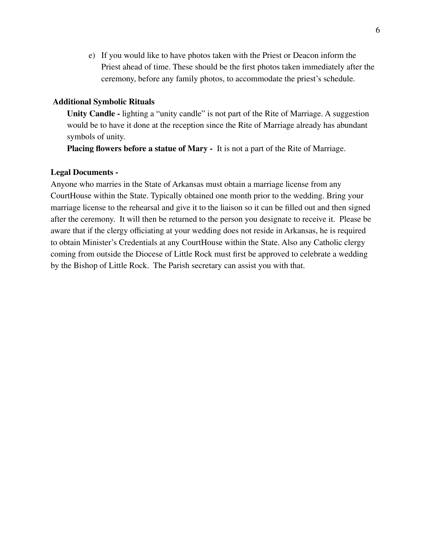e) If you would like to have photos taken with the Priest or Deacon inform the Priest ahead of time. These should be the first photos taken immediately after the ceremony, before any family photos, to accommodate the priest's schedule.

#### **Additional Symbolic Rituals**

**Unity Candle -** lighting a "unity candle" is not part of the Rite of Marriage. A suggestion would be to have it done at the reception since the Rite of Marriage already has abundant symbols of unity.

**Placing flowers before a statue of Mary -** It is not a part of the Rite of Marriage.

#### **Legal Documents -**

Anyone who marries in the State of Arkansas must obtain a marriage license from any CourtHouse within the State. Typically obtained one month prior to the wedding. Bring your marriage license to the rehearsal and give it to the liaison so it can be filled out and then signed after the ceremony. It will then be returned to the person you designate to receive it. Please be aware that if the clergy officiating at your wedding does not reside in Arkansas, he is required to obtain Minister's Credentials at any CourtHouse within the State. Also any Catholic clergy coming from outside the Diocese of Little Rock must first be approved to celebrate a wedding by the Bishop of Little Rock. The Parish secretary can assist you with that.